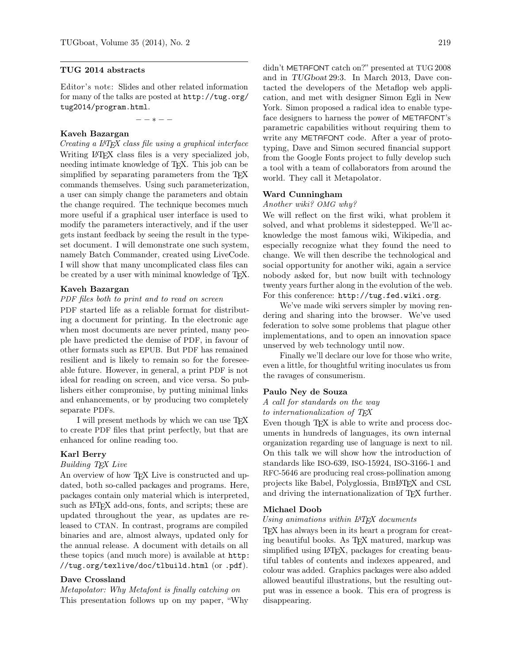# TUG 2014 abstracts

Editor's note: Slides and other related information for many of the talks are posted at [http://tug.org/](http://tug.org/tug2014/program.html) [tug2014/program.html](http://tug.org/tug2014/program.html).

− − ∗ − −

# Kaveh Bazargan

Creating a LATEX class file using a graphical interface Writing LAT<sub>EX</sub> class files is a very specialized job, needing intimate knowledge of TEX. This job can be simplified by separating parameters from the T<sub>E</sub>X commands themselves. Using such parameterization, a user can simply change the parameters and obtain the change required. The technique becomes much more useful if a graphical user interface is used to modify the parameters interactively, and if the user gets instant feedback by seeing the result in the typeset document. I will demonstrate one such system, namely Batch Commander, created using LiveCode. I will show that many uncomplicated class files can be created by a user with minimal knowledge of TFX.

# Kaveh Bazargan

# PDF files both to print and to read on screen

PDF started life as a reliable format for distributing a document for printing. In the electronic age when most documents are never printed, many people have predicted the demise of PDF, in favour of other formats such as EPUB. But PDF has remained resilient and is likely to remain so for the foreseeable future. However, in general, a print PDF is not ideal for reading on screen, and vice versa. So publishers either compromise, by putting minimal links and enhancements, or by producing two completely separate PDFs.

I will present methods by which we can use  $T_F X$ to create PDF files that print perfectly, but that are enhanced for online reading too.

#### Karl Berry

# Building TEX Live

An overview of how TEX Live is constructed and updated, both so-called packages and programs. Here, packages contain only material which is interpreted, such as LAT<sub>E</sub>X add-ons, fonts, and scripts; these are updated throughout the year, as updates are released to CTAN. In contrast, programs are compiled binaries and are, almost always, updated only for the annual release. A document with details on all these topics (and much more) is available at [http:](http://tug.org/texlive/doc/tlbuild.html) [//tug.org/texlive/doc/tlbuild.html](http://tug.org/texlive/doc/tlbuild.html) (or .pdf).

# Dave Crossland

Metapolator: Why Metafont is finally catching on This presentation follows up on my paper, "Why

didn't METAFONT catch on?" presented at TUG 2008 and in TUGboat 29:3. In March 2013, Dave contacted the developers of the Metaflop web application, and met with designer Simon Egli in New York. Simon proposed a radical idea to enable typeface designers to harness the power of METAFONT's parametric capabilities without requiring them to write any METAFONT code. After a year of prototyping, Dave and Simon secured financial support from the Google Fonts project to fully develop such a tool with a team of collaborators from around the world. They call it Metapolator.

#### Ward Cunningham

#### Another wiki? OMG why?

We will reflect on the first wiki, what problem it solved, and what problems it sidestepped. We'll acknowledge the most famous wiki, Wikipedia, and especially recognize what they found the need to change. We will then describe the technological and social opportunity for another wiki, again a service nobody asked for, but now built with technology twenty years further along in the evolution of the web. For this conference: <http://tug.fed.wiki.org>.

We've made wiki servers simpler by moving rendering and sharing into the browser. We've used federation to solve some problems that plague other implementations, and to open an innovation space unserved by web technology until now.

Finally we'll declare our love for those who write, even a little, for thoughtful writing inoculates us from the ravages of consumerism.

# Paulo Ney de Souza

# A call for standards on the way

to internationalization of TEX

Even though T<sub>E</sub>X is able to write and process documents in hundreds of languages, its own internal organization regarding use of language is next to nil. On this talk we will show how the introduction of standards like ISO-639, ISO-15924, ISO-3166-1 and RFC-5646 are producing real cross-pollination among projects like Babel, Polyglossia, BibLATEX and CSL and driving the internationalization of TEX further.

#### Michael Doob

#### Using animations within IATFX documents

TEX has always been in its heart a program for creating beautiful books. As TEX matured, markup was simplified using LATEX, packages for creating beautiful tables of contents and indexes appeared, and colour was added. Graphics packages were also added allowed beautiful illustrations, but the resulting output was in essence a book. This era of progress is disappearing.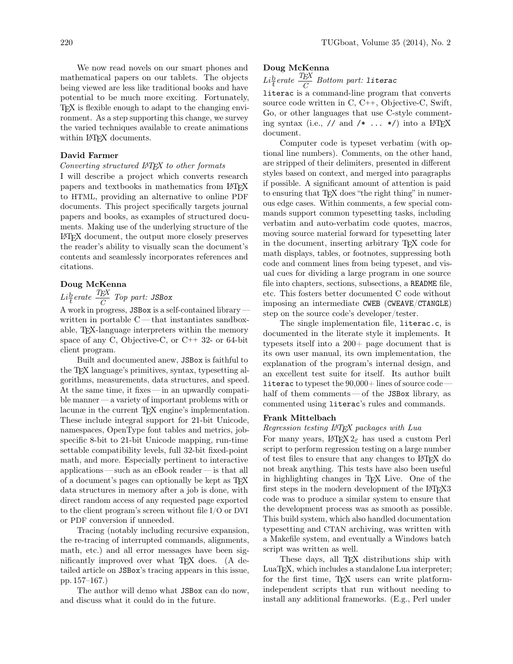We now read novels on our smart phones and mathematical papers on our tablets. The objects being viewed are less like traditional books and have potential to be much more exciting. Fortunately, TEX is flexible enough to adapt to the changing environment. As a step supporting this change, we survey the varied techniques available to create animations within LAT<sub>EX</sub> documents.

# David Farmer

# Converting structured LATEX to other formats

I will describe a project which converts research papers and textbooks in mathematics from LATEX to HTML, providing an alternative to online PDF documents. This project specifically targets journal papers and books, as examples of structured documents. Making use of the underlying structure of the LATEX document, the output more closely preserves the reader's ability to visually scan the document's contents and seamlessly incorporates references and citations.

# Doug McKenna

# $Li\frac{b}{t}erate~\frac{T_{E}\text{X}}{C}$  Top part: JSBox

A work in progress, JSBox is a self-contained library written in portable C— that instantiates sandboxable, TEX-language interpreters within the memory space of any C, Objective-C, or C++ 32- or 64-bit client program.

Built and documented anew, JSBox is faithful to the TEX language's primitives, syntax, typesetting algorithms, measurements, data structures, and speed. At the same time, it fixes — in an upwardly compatible manner — a variety of important problems with or lacunæ in the current TEX engine's implementation. These include integral support for 21-bit Unicode, namespaces, OpenType font tables and metrics, jobspecific 8-bit to 21-bit Unicode mapping, run-time settable compatibility levels, full 32-bit fixed-point math, and more. Especially pertinent to interactive applications — such as an eBook reader — is that all of a document's pages can optionally be kept as TEX data structures in memory after a job is done, with direct random access of any requested page exported to the client program's screen without file I/O or DVI or PDF conversion if unneeded.

Tracing (notably including recursive expansion, the re-tracing of interrupted commands, alignments, math, etc.) and all error messages have been significantly improved over what TEX does. (A detailed article on JSBox's tracing appears in this issue, pp. 157–167.)

The author will demo what JSBox can do now, and discuss what it could do in the future.

# Doug McKenna

 $Li{b\over t}erate~{TEX\over C}~Bottom~part:$  literac

literac is a command-line program that converts source code written in C, C++, Objective-C, Swift, Go, or other languages that use C-style commenting syntax (i.e., // and /\* ... \*/) into a  $\text{LATEX}$ document.

Computer code is typeset verbatim (with optional line numbers). Comments, on the other hand, are stripped of their delimiters, presented in different styles based on context, and merged into paragraphs if possible. A significant amount of attention is paid to ensuring that TEX does "the right thing" in numerous edge cases. Within comments, a few special commands support common typesetting tasks, including verbatim and auto-verbatim code quotes, macros, moving source material forward for typesetting later in the document, inserting arbitrary TEX code for math displays, tables, or footnotes, suppressing both code and comment lines from being typeset, and visual cues for dividing a large program in one source file into chapters, sections, subsections, a README file, etc. This fosters better documented C code without imposing an intermediate CWEB (CWEAVE/CTANGLE) step on the source code's developer/tester.

The single implementation file, literac.c, is documented in the literate style it implements. It typesets itself into a 200+ page document that is its own user manual, its own implementation, the explanation of the program's internal design, and an excellent test suite for itself. Its author built literac to typeset the  $90,000+$  lines of source code – half of them comments— of the JSBox library, as commented using literac's rules and commands.

#### Frank Mittelbach

#### Regression testing LATEX packages with Lua

For many years,  $\mathbb{A}T\rightarrow X^2_{\varepsilon}$  has used a custom Perl script to perform regression testing on a large number of test files to ensure that any changes to LATEX do not break anything. This tests have also been useful in highlighting changes in TEX Live. One of the first steps in the modern development of the L<sup>AT</sup>FX3 code was to produce a similar system to ensure that the development process was as smooth as possible. This build system, which also handled documentation typesetting and CTAN archiving, was written with a Makefile system, and eventually a Windows batch script was written as well.

These days, all T<sub>EX</sub> distributions ship with LuaTEX, which includes a standalone Lua interpreter; for the first time, TEX users can write platformindependent scripts that run without needing to install any additional frameworks. (E.g., Perl under